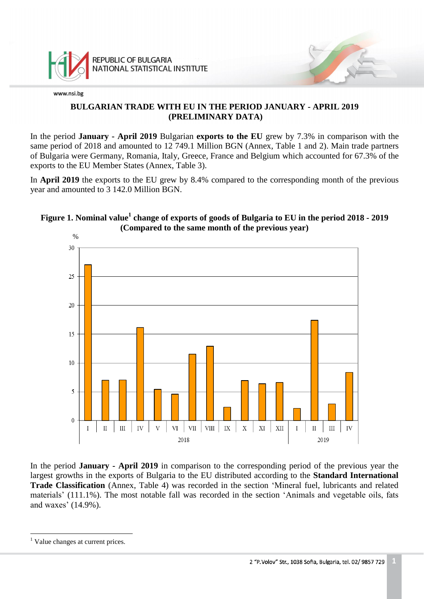

## **BULGARIAN TRADE WITH EU IN THE PERIOD JANUARY - APRIL 2019 (PRELIMINARY DATA)**

In the period **January - April 2019** Bulgarian **exports to the EU** grew by 7.3% in comparison with the same period of 2018 and amounted to 12 749.1 Million BGN (Annex, Table 1 and 2). Main trade partners of Bulgaria were Germany, Romania, Italy, Greece, France and Belgium which accounted for 67.3% of the exports to the EU Member States (Annex, Table 3).

In **April 2019** the exports to the EU grew by 8.4% compared to the corresponding month of the previous year and amounted to 3 142.0 Million BGN.

## **Figure 1. Nominal value<sup>1</sup> change of exports of goods of Bulgaria to EU in the period 2018 - 2019 (Compared to the same month of the previous year)**



In the period **January - April 2019** in comparison to the corresponding period of the previous year the largest growths in the exports of Bulgaria to the EU distributed according to the **Standard International Trade Classification** (Annex, Table 4) was recorded in the section 'Mineral fuel, lubricants and related materials' (111.1%). The most notable fall was recorded in the section 'Animals and vegetable oils, fats and waxes' (14.9%).

L,

<sup>&</sup>lt;sup>1</sup> Value changes at current prices.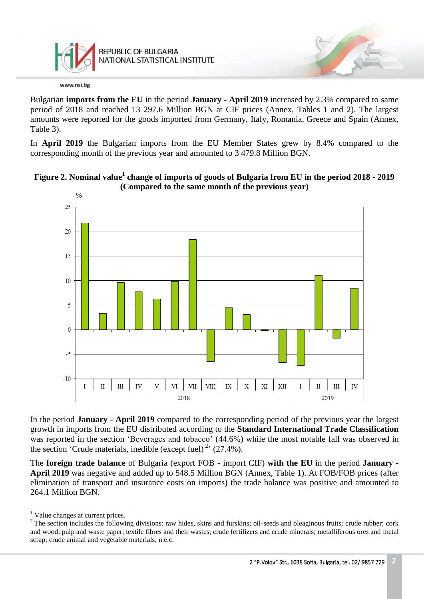

Bulgarian **imports from the EU** in the period **January - April 2019** increased by 2.3% compared to same period of 2018 and reached 13 297.6 Million BGN at CIF prices (Annex, Tables 1 and 2). The largest amounts were reported for the goods imported from Germany, Italy, Romania, Greece and Spain (Annex, Table 3).

In **April 2019** the Bulgarian imports from the EU Member States grew by 8.4% compared to the corresponding month of the previous year and amounted to 3 479.8 Million BGN.





In the period **January - April 2019** compared to the corresponding period of the previous year the largest growth in imports from the EU distributed according to the **Standard International Trade Classification** was reported in the section 'Beverages and tobacco' (44.6%) while the most notable fall was observed in the section 'Crude materials, inedible (except fuel)<sup>2</sup> (27.4%).

The **foreign trade balance** of Bulgaria (export FOB - import CIF) **with the EU** in the period **January - April 2019** was negative and added up to 548.5 Million BGN (Annex, Table 1). At FOB/FOB prices (after elimination of transport and insurance costs on imports) the trade balance was positive and amounted to 264.1 Million BGN.

i<br>L

<sup>&</sup>lt;sup>1</sup> Value changes at current prices.

 $2$  The section includes the following divisions: raw hides, skins and furskins; oil-seeds and oleaginous fruits; crude rubber; cork and wood; pulp and waste paper; textile fibres and their wastes; crude fertilizers and crude minerals; metalliferous ores and metal scrap; crude animal and vegetable materials, n.e.c.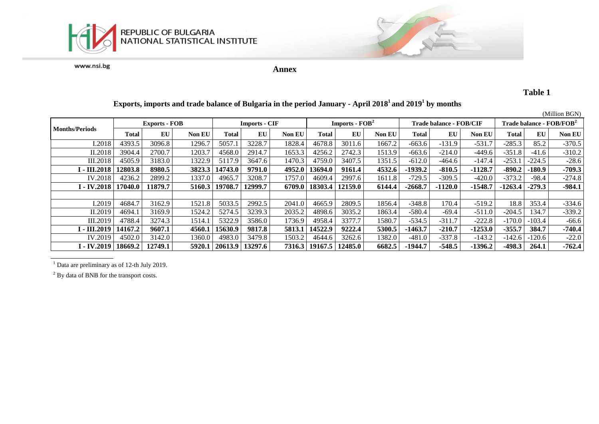

**Annex**

## **Table 1**

#### **Exports, imports and trade balance of Bulgaria in the period January - April 2018<sup>1</sup>and 2019<sup>1</sup> by months**

|                           | (Million BGN)        |         |               |                      |         |               |                                   |         |        |                         |           |           |                                      |          |          |
|---------------------------|----------------------|---------|---------------|----------------------|---------|---------------|-----------------------------------|---------|--------|-------------------------|-----------|-----------|--------------------------------------|----------|----------|
|                           | <b>Exports - FOB</b> |         |               | <b>Imports - CIF</b> |         |               | <b>Imports - FOB</b> <sup>2</sup> |         |        | Trade balance - FOB/CIF |           |           | Trade balance - FOB/FOB <sup>2</sup> |          |          |
| <b>Months/Periods</b>     | Total                | EU      | <b>Non EU</b> | Total                | EU      | <b>Non EU</b> | Total                             | EU      | Non EU | Total                   | EU        | Non EU    | Total                                | EU       | Non EU   |
| I.2018                    | 4393.5               | 3096.8  | 1296.7        | 5057.                | 3228.7  | 1828.4        | 4678.8                            | 3011.6  | 1667.2 | $-663.6$                | $-131.9$  | $-531.7$  | $-285.3$                             | 85.2     | $-370.5$ |
| II.2018                   | 3904.4               | 2700.7  | 1203.7        | 4568.0               | 2914.7  | 1653.3        | 4256.2                            | 2742.3  | 1513.9 | $-663.6$                | $-214.0$  | $-449.6$  | $-351.8$                             | $-41.6$  | $-310.2$ |
| III.2018                  | 4505.9               | 3183.0  | 1322.9        | 5117.9               | 3647.6  | 1470.3        | 4759.0                            | 3407.5  | 1351.5 | $-612.0$                | $-464.6$  | $-147.4$  | $-253.$                              | $-224.5$ | $-28.6$  |
| I - III.2018              | 12803.8              | 8980.5  | 3823.3        | 14743.0              | 9791.0  | 4952.0        | 13694.0                           | 9161.4  | 4532.6 | $-1939.2$               | $-810.5$  | $-1128.7$ | $-890.2$                             | $-180.9$ | $-709.3$ |
| IV.2018                   | 4236.2               | 2899.2  | 1337.0        | 4965.7               | 3208.7  | 1757.0        | 4609.4                            | 2997.6  | 1611.8 | $-729.5$                | $-309.5$  | $-420.0$  | $-373.2$                             | $-98.4$  | $-274.8$ |
| <b>I</b> - <b>IV.2018</b> | 17040.0              | 11879.7 | 5160.3        | 19708.7              | 12999.7 | 6709.0        | 18303.4                           | 12159.0 | 6144.4 | $-2668.7$               | $-1120.0$ | $-1548.7$ | $-1263.4$                            | $-279.3$ | $-984.1$ |
|                           |                      |         |               |                      |         |               |                                   |         |        |                         |           |           |                                      |          |          |
| I.2019                    | 4684.7               | 3162.9  | 1521.8        | 5033.5               | 2992.5  | 2041.0        | 4665.9                            | 2809.5  | 1856.4 | $-348.8$                | 170.4     | $-519.2$  | 18.8                                 | 353.4    | $-334.6$ |
| II.2019                   | 4694.                | 3169.9  | 1524.2        | 5274.5               | 3239.3  | 2035.2        | 4898.6                            | 3035.2  | 1863.4 | $-580.4$                | $-69.4$   | $-511.0$  | $-204.5$                             | 34.7     | $-339.2$ |
| III.2019                  | 4788.4               | 3274.3  | 1514.         | 5322.9               | 3586.0  | 1736.9        | 4958.4                            | 3377.7  | 1580.7 | $-534.5$                | $-311.7$  | $-222.8$  | $-170.0$                             | $-103.4$ | $-66.6$  |
| I - III.2019              | 14167.2              | 9607.1  | 4560.1        | 15630.9              | 9817.8  | 5813.1        | 14522.9                           | 9222.4  | 5300.5 | $-1463.7$               | $-210.7$  | $-1253.0$ | $-355.7$                             | 384.7    | $-740.4$ |
| IV.2019                   | 4502.0               | 3142.0  | 1360.0        | 4983.0               | 3479.8  | 1503.2        | 4644.6                            | 3262.6  | 1382.0 | $-481.0$                | $-337.8$  | $-143.2$  | $-142.6$                             | $-120.6$ | $-22.0$  |
| I - IV.2019               | 18669.2              | 12749.1 | 5920.1        | 20613.9              | 13297.6 | 7316.3        | 19167.5                           | 12485.0 | 6682.5 | $-1944.7$               | $-548.5$  | $-1396.2$ | $-498.3$                             | 264.1    | $-762.4$ |

<sup>1</sup> Data are preliminary as of 12-th July 2019.

<sup>2</sup> By data of BNB for the transport costs.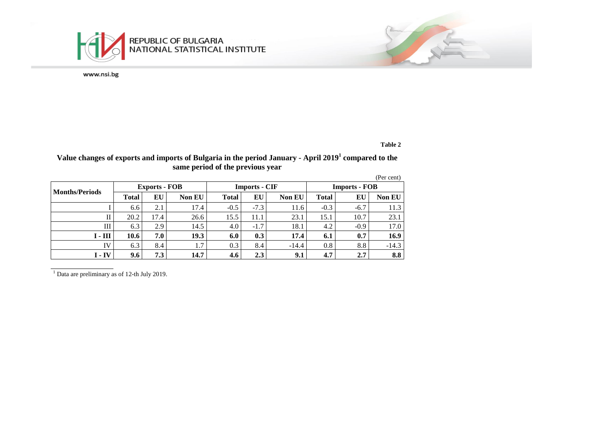

#### **Table 2**

#### **Value changes of exports and imports of Bulgaria in the period January - April 2019<sup>1</sup> compared to the same period of the previous year**

|                      |              |                      |               |              |                      |               |                      |        | (Per cent)    |  |
|----------------------|--------------|----------------------|---------------|--------------|----------------------|---------------|----------------------|--------|---------------|--|
|                      |              | <b>Exports - FOB</b> |               |              | <b>Imports - CIF</b> |               | <b>Imports - FOB</b> |        |               |  |
| Months/Periods       | <b>Total</b> | EU                   | <b>Non EU</b> | <b>Total</b> | EU                   | <b>Non EU</b> | <b>Total</b>         | EU     | <b>Non EU</b> |  |
|                      | 6.6          | 2.1                  | 17.4          | $-0.5$       | $-7.3$               | 11.6          | $-0.3$               | $-6.7$ | 11.3          |  |
| $_{\rm II}$          | 20.2         | 17.4                 | 26.6          | 15.5         | 11.1                 | 23.1          | 15.1                 | 10.7   | 23.1          |  |
| Ш                    | 6.3          | 2.9                  | 14.5          | 4.0          | $-1.7$               | 18.1          | 4.2                  | $-0.9$ | 17.0          |  |
| $I - III$            | 10.6         | 7.0                  | 19.3          | 6.0          | 0.3                  | 17.4          | 6.1                  | 0.7    | 16.9          |  |
| IV                   | 6.3          | 8.4                  | 1.7           | 0.3          | 8.4                  | $-14.4$       | 0.8                  | 8.8    | $-14.3$       |  |
| <b>I</b> - <b>IV</b> | 9.6          | 7.3                  | 14.7          | 4.6          | 2.3                  | 9.1           | 4.7                  | 2.7    | 8.8           |  |

 $\frac{1}{1}$  Data are preliminary as of 12-th July 2019.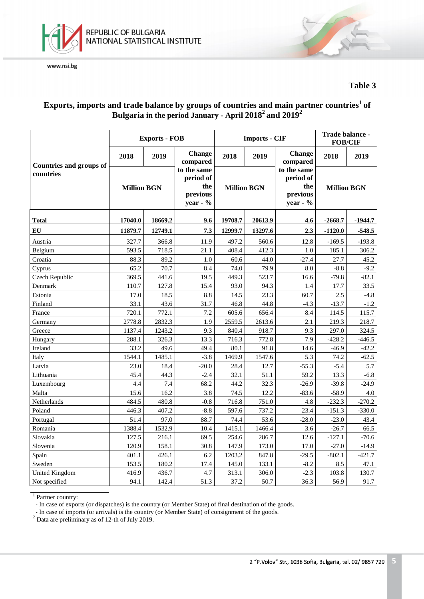



## **Table 3**

## **Exports, imports and trade balance by groups of countries and main partner countries<sup>1</sup>of Bulgaria in the period January - April 2018 2 and 2019 2**

|                                |                    | <b>Exports - FOB</b> |                                                            |         | <b>Imports - CIF</b> | Trade balance -<br><b>FOB/CIF</b>                       |                    |           |
|--------------------------------|--------------------|----------------------|------------------------------------------------------------|---------|----------------------|---------------------------------------------------------|--------------------|-----------|
| <b>Countries and groups of</b> | 2018               | 2019                 | <b>Change</b><br>compared                                  | 2018    | 2019                 | <b>Change</b><br>compared                               | 2018               | 2019      |
| countries                      | <b>Million BGN</b> |                      | to the same<br>period of<br>the<br>previous<br>year - $\%$ |         | <b>Million BGN</b>   | to the same<br>period of<br>the<br>previous<br>year - % | <b>Million BGN</b> |           |
| <b>Total</b>                   | 17040.0            | 18669.2              | 9.6                                                        | 19708.7 | 20613.9              | 4.6                                                     | $-2668.7$          | $-1944.7$ |
| EU                             | 11879.7            | 12749.1              | 7.3                                                        | 12999.7 | 13297.6              | 2.3                                                     | $-1120.0$          | $-548.5$  |
| Austria                        | 327.7              | 366.8                | 11.9                                                       | 497.2   | 560.6                | 12.8                                                    | $-169.5$           | $-193.8$  |
| Belgium                        | 593.5              | 718.5                | 21.1                                                       | 408.4   | 412.3                | 1.0                                                     | 185.1              | 306.2     |
| Croatia                        | 88.3               | 89.2                 | 1.0                                                        | 60.6    | 44.0                 | $-27.4$                                                 | 27.7               | 45.2      |
| Cyprus                         | 65.2               | 70.7                 | 8.4                                                        | 74.0    | 79.9                 | 8.0                                                     | $-8.8$             | $-9.2$    |
| Czech Republic                 | 369.5              | 441.6                | 19.5                                                       | 449.3   | 523.7                | 16.6                                                    | $-79.8$            | $-82.1$   |
| Denmark                        | 110.7              | 127.8                | 15.4                                                       | 93.0    | 94.3                 | 1.4                                                     | 17.7               | 33.5      |
| Estonia                        | 17.0               | 18.5                 | 8.8                                                        | 14.5    | 23.3                 | 60.7                                                    | 2.5                | $-4.8$    |
| Finland                        | 33.1               | 43.6                 | 31.7                                                       | 46.8    | 44.8                 | $-4.3$                                                  | $-13.7$            | $-1.2$    |
| France                         | 720.1              | 772.1                | 7.2                                                        | 605.6   | 656.4                | 8.4                                                     | 114.5              | 115.7     |
| Germany                        | 2778.8             | 2832.3               | 1.9                                                        | 2559.5  | 2613.6               | 2.1                                                     | 219.3              | 218.7     |
| Greece                         | 1137.4             | 1243.2               | 9.3                                                        | 840.4   | 918.7                | 9.3                                                     | 297.0              | 324.5     |
| Hungary                        | 288.1              | 326.3                | 13.3                                                       | 716.3   | 772.8                | 7.9                                                     | $-428.2$           | $-446.5$  |
| Ireland                        | 33.2               | 49.6                 | 49.4                                                       | 80.1    | 91.8                 | 14.6                                                    | $-46.9$            | $-42.2$   |
| Italy                          | 1544.1             | 1485.1               | $-3.8$                                                     | 1469.9  | 1547.6               | 5.3                                                     | 74.2               | $-62.5$   |
| Latvia                         | 23.0               | 18.4                 | $-20.0$                                                    | 28.4    | 12.7                 | $-55.3$                                                 | $-5.4$             | 5.7       |
| Lithuania                      | 45.4               | 44.3                 | $-2.4$                                                     | 32.1    | 51.1                 | 59.2                                                    | 13.3               | $-6.8$    |
| Luxembourg                     | 4.4                | 7.4                  | 68.2                                                       | 44.2    | 32.3                 | $-26.9$                                                 | $-39.8$            | $-24.9$   |
| Malta                          | 15.6               | 16.2                 | 3.8                                                        | 74.5    | 12.2                 | $-83.6$                                                 | $-58.9$            | 4.0       |
| Netherlands                    | 484.5              | 480.8                | $-0.8$                                                     | 716.8   | 751.0                | 4.8                                                     | $-232.3$           | $-270.2$  |
| Poland                         | 446.3              | 407.2                | $-8.8$                                                     | 597.6   | 737.2                | 23.4                                                    | $-151.3$           | $-330.0$  |
| Portugal                       | 51.4               | 97.0                 | 88.7                                                       | 74.4    | 53.6                 | $-28.0$                                                 | $-23.0$            | 43.4      |
| Romania                        | 1388.4             | 1532.9               | 10.4                                                       | 1415.1  | 1466.4               | 3.6                                                     | $-26.7$            | 66.5      |
| Slovakia                       | 127.5              | 216.1                | 69.5                                                       | 254.6   | 286.7                | 12.6                                                    | $-127.1$           | $-70.6$   |
| Slovenia                       | 120.9              | 158.1                | 30.8                                                       | 147.9   | 173.0                | 17.0                                                    | $-27.0$            | $-14.9$   |
| Spain                          | 401.1              | 426.1                | 6.2                                                        | 1203.2  | 847.8                | $-29.5$                                                 | $-802.1$           | $-421.7$  |
| Sweden                         | 153.5              | 180.2                | 17.4                                                       | 145.0   | 133.1                | $-8.2$                                                  | 8.5                | 47.1      |
| <b>United Kingdom</b>          | 416.9              | 436.7                | 4.7                                                        | 313.1   | 306.0                | $-2.3$                                                  | 103.8              | 130.7     |
| Not specified                  | 94.1               | 142.4                | 51.3                                                       | 37.2    | 50.7                 | 36.3                                                    | 56.9               | 91.7      |

<sup>1</sup> Partner country:

- In case of exports (or dispatches) is the country (or Member State) of final destination of the goods.

- In case of imports (or arrivals) is the country (or Member State) of consignment of the goods.

 $2^{\circ}$  Data are preliminary as of 12-th of July 2019.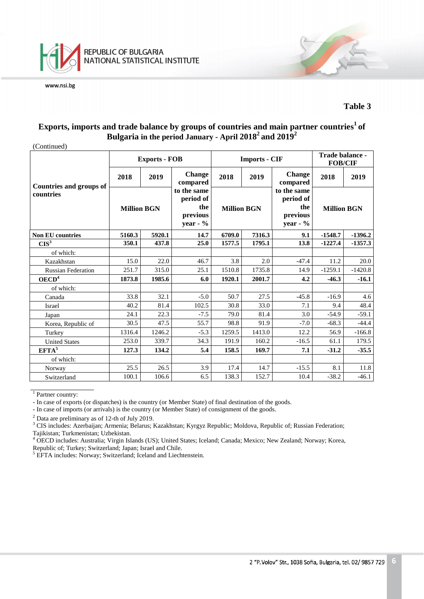

### **Table 3**

## **Exports, imports and trade balance by groups of countries and main partner countries <sup>1</sup>of Bulgaria in the period January - April 2018 <sup>2</sup>and 2019 2**

(Continued)

|                                             |                    | <b>Exports - FOB</b>              |                                                           |                    | <b>Imports - CIF</b> | Trade balance -<br><b>FOB/CIF</b>                         |                    |           |
|---------------------------------------------|--------------------|-----------------------------------|-----------------------------------------------------------|--------------------|----------------------|-----------------------------------------------------------|--------------------|-----------|
|                                             | 2018               | <b>Change</b><br>2019<br>compared |                                                           | 2018               | 2019                 | <b>Change</b><br>compared                                 | 2018               | 2019      |
| <b>Countries and groups of</b><br>countries | <b>Million BGN</b> |                                   | to the same<br>period of<br>the<br>previous<br>year - $%$ | <b>Million BGN</b> |                      | to the same<br>period of<br>the<br>previous<br>year - $%$ | <b>Million BGN</b> |           |
| <b>Non EU countries</b>                     | 5160.3<br>5920.1   |                                   | 14.7                                                      | 6709.0             | 7316.3               | 9.1                                                       | $-1548.7$          | $-1396.2$ |
| CIS <sup>3</sup>                            | 350.1              | 437.8                             | 25.0                                                      | 1577.5             | 1795.1               | 13.8                                                      | $-1227.4$          | $-1357.3$ |
| of which:                                   |                    |                                   |                                                           |                    |                      |                                                           |                    |           |
| Kazakhstan                                  | 15.0               | 22.0                              | 46.7                                                      | 3.8                | 2.0                  | $-47.4$                                                   | 11.2               | 20.0      |
| <b>Russian Federation</b>                   | 251.7              | 315.0                             | 25.1                                                      | 1510.8             | 1735.8               | 14.9                                                      | $-1259.1$          | $-1420.8$ |
| OECD <sup>4</sup>                           | 1873.8             | 1985.6                            | 6.0                                                       | 1920.1             | 2001.7               | 4.2                                                       | $-46.3$            | $-16.1$   |
| of which:                                   |                    |                                   |                                                           |                    |                      |                                                           |                    |           |
| Canada                                      | 33.8               | 32.1                              | $-5.0$                                                    | 50.7               | 27.5                 | $-45.8$                                                   | $-16.9$            | 4.6       |
| Israel                                      | 40.2               | 81.4                              | 102.5                                                     | 30.8               | 33.0                 | 7.1                                                       | 9.4                | 48.4      |
| Japan                                       | 24.1               | 22.3                              | $-7.5$                                                    | 79.0               | 81.4                 | 3.0                                                       | $-54.9$            | $-59.1$   |
| Korea, Republic of                          | 30.5               | 47.5                              | 55.7                                                      | 98.8               | 91.9                 | $-7.0$                                                    | $-68.3$            | $-44.4$   |
| Turkey                                      | 1316.4             | 1246.2                            | $-5.3$                                                    | 1259.5             | 1413.0               | 12.2                                                      | 56.9               | $-166.8$  |
| <b>United States</b>                        | 253.0              | 339.7                             | 34.3                                                      | 191.9              | 160.2                | $-16.5$                                                   | 61.1               | 179.5     |
| $EFTA^5$                                    | 127.3              | 134.2                             | 5.4                                                       | 158.5              | 169.7                | 7.1                                                       | $-31.2$            | $-35.5$   |
| of which:                                   |                    |                                   |                                                           |                    |                      |                                                           |                    |           |
| Norway                                      | 25.5               | 26.5                              | 3.9                                                       | 17.4               | 14.7                 | $-15.5$                                                   | 8.1                | 11.8      |
| Switzerland                                 | 100.1              | 106.6                             | 6.5                                                       | 138.3              | 152.7                | 10.4                                                      | $-38.2$            | $-46.1$   |

<sup>1</sup> Partner country:

<sup>2</sup> Data are preliminary as of 12-th of July 2019.

<sup>-</sup> In case of exports (or dispatches) is the country (or Member State) of final destination of the goods.

<sup>-</sup> In case of imports (or arrivals) is the country (or Member State) of consignment of the goods.

<sup>&</sup>lt;sup>3</sup> CIS includes: Azerbaijan; Armenia; Belarus; Kazakhstan; Kyrgyz Republic; Moldova, Republic of; Russian Federation; Tajikistan; Turkmenistan; Uzbekistan.

<sup>&</sup>lt;sup>4</sup> OECD includes: Australia; Virgin Islands (US); United States; Iceland; Canada; Mexico; New Zealand; Norway; Korea, Republic of; Turkey; Switzerland; Japan; Israel and Chile.

<sup>&</sup>lt;sup>5</sup> EFTA includes: Norway; Switzerland; Iceland and Liechtenstein.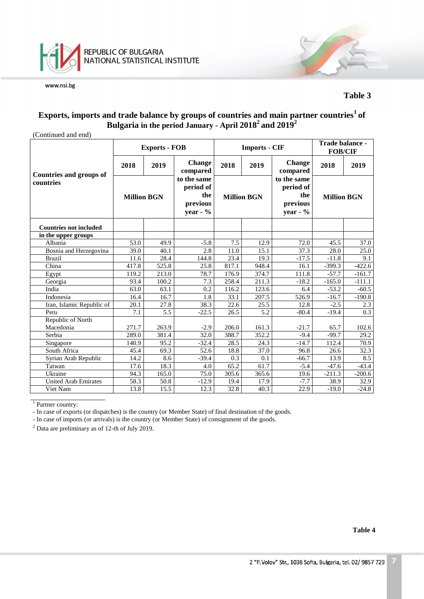

### **Table 3**

## **Exports, imports and trade balance by groups of countries and main partner countries<sup>1</sup>of Bulgaria in the period January - April 2018 <sup>2</sup>and 2019 2**

| (Continued and end)                         |                    |                      |                                                           |                    |                      |                                                           |                    |          |
|---------------------------------------------|--------------------|----------------------|-----------------------------------------------------------|--------------------|----------------------|-----------------------------------------------------------|--------------------|----------|
|                                             |                    | <b>Exports - FOB</b> |                                                           |                    | <b>Imports - CIF</b> | Trade balance -<br><b>FOB/CIF</b>                         |                    |          |
|                                             | 2018               | 2019                 | <b>Change</b><br>compared                                 | 2018               | 2019                 | <b>Change</b><br>compared                                 | 2018               | 2019     |
| <b>Countries and groups of</b><br>countries | <b>Million BGN</b> |                      | to the same<br>period of<br>the<br>previous<br>year - $%$ | <b>Million BGN</b> |                      | to the same<br>period of<br>the<br>previous<br>year - $%$ | <b>Million BGN</b> |          |
| <b>Countries not included</b>               |                    |                      |                                                           |                    |                      |                                                           |                    |          |
| in the upper groups                         |                    |                      |                                                           |                    |                      |                                                           |                    |          |
| Albania                                     | 53.0               | 49.9                 | $-5.8$                                                    | 7.5                | 12.9                 | 72.0                                                      | 45.5               | 37.0     |
| Bosnia and Herzegovina                      | 39.0               | 40.1                 | 2.8                                                       | 11.0               | 15.1                 | 37.3                                                      | 28.0               | 25.0     |
| <b>Brazil</b>                               | 11.6               | 28.4                 | 144.8                                                     | 23.4               | 19.3                 | $-17.5$                                                   | $-11.8$            | 9.1      |
| China                                       | 417.8              | 525.8                | 25.8                                                      | 817.1              | 948.4                | 16.1                                                      | $-399.3$           | $-422.6$ |
| Egypt                                       | 119.2              | 213.0                | 78.7                                                      | 176.9              | 374.7                | 111.8                                                     | $-57.7$            | $-161.7$ |
| Georgia                                     | 93.4               | 100.2                | 7.3                                                       | 258.4              | 211.3                | $-18.2$                                                   | $-165.0$           | $-111.1$ |
| India                                       | 63.0               | 63.1                 | 0.2                                                       | 116.2              | 123.6                | 6.4                                                       | $-53.2$            | $-60.5$  |
| Indonesia                                   | 16.4               | 16.7                 | 1.8                                                       | 33.1               | 207.5                | 526.9                                                     | $-16.7$            | $-190.8$ |
| Iran, Islamic Republic of                   | 20.1               | 27.8                 | 38.3                                                      | 22.6               | 25.5                 | 12.8                                                      | $-2.5$             | 2.3      |
| Peru                                        | 7.1                | 5.5                  | $-22.5$                                                   | 26.5               | 5.2                  | $-80.4$                                                   | $-19.4$            | 0.3      |
| Republic of North                           |                    |                      |                                                           |                    |                      |                                                           |                    |          |
| Macedonia                                   | 271.7              | 263.9                | $-2.9$                                                    | 206.0              | 161.3                | $-21.7$                                                   | 65.7               | 102.6    |
| Serbia                                      | 289.0              | 381.4                | 32.0                                                      | 388.7              | 352.2                | $-9.4$                                                    | $-99.7$            | 29.2     |
| Singapore                                   | 140.9              | 95.2                 | $-32.4$                                                   | 28.5               | 24.3                 | $-14.7$                                                   | 112.4              | 70.9     |
| South Africa                                | 45.4               | 69.3                 | 52.6                                                      | 18.8               | 37.0                 | 96.8                                                      | 26.6               | 32.3     |
| Syrian Arab Republic                        | 14.2               | 8.6                  | $-39.4$                                                   | 0.3                | 0.1                  | $-66.7$                                                   | 13.9               | 8.5      |
| Taiwan                                      | 17.6               | 18.3                 | 4.0                                                       | 65.2               | 61.7                 | $-5.4$                                                    | $-47.6$            | $-43.4$  |
| Ukraine                                     | 94.3               | 165.0                | 75.0                                                      | 305.6              | 365.6                | 19.6                                                      | $-211.3$           | $-200.6$ |
| <b>United Arab Emirates</b>                 | 58.3               | 50.8                 | $-12.9$                                                   | 19.4               | 17.9                 | $-7.7$                                                    | 38.9               | 32.9     |
| Viet Nam                                    | 13.8               | 15.5                 | 12.3                                                      | 32.8               | 40.3                 | 22.9                                                      | $-19.0$            | $-24.8$  |

<sup>1</sup> Partner country:

- In case of exports (or dispatches) is the country (or Member State) of final destination of the goods.

- In case of imports (or arrivals) is the country (or Member State) of consignment of the goods.

 $2$  Data are preliminary as of 12-th of July 2019.

**Table 4**